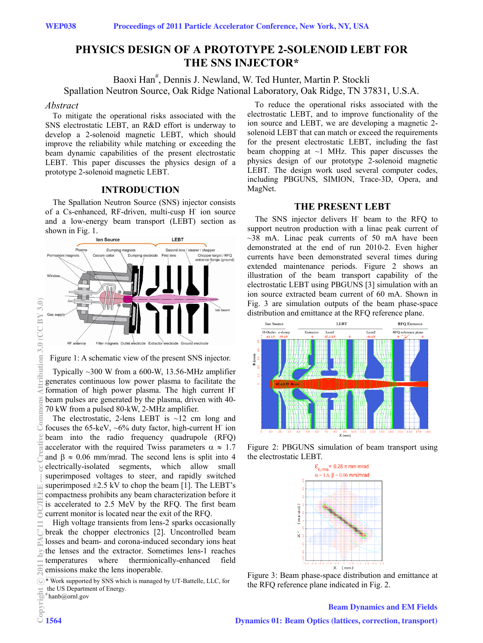# **PHYSICS DESIGN OF A PROTOTYPE 2-SOLENOID LEBT FOR THE SNS INJECTOR\***

Baoxi Han<sup>#</sup>, Dennis J. Newland, W. Ted Hunter, Martin P. Stockli Spallation Neutron Source, Oak Ridge National Laboratory, Oak Ridge, TN 37831, U.S.A.

#### *Abstract*

To mitigate the operational risks associated with the SNS electrostatic LEBT, an R&D effort is underway to develop a 2-solenoid magnetic LEBT, which should improve the reliability while matching or exceeding the beam dynamic capabilities of the present electrostatic LEBT. This paper discusses the physics design of a prototype 2-solenoid magnetic LEBT.

# **INTRODUCTION**

The Spallation Neutron Source (SNS) injector consists of a Cs-enhanced, RF-driven, multi-cusp H<sup>-</sup> ion source and a low-energy beam transport (LEBT) section as



Figure 1: A schematic view of the present SNS injector.

Typically ~300 W from a 600-W, 13.56-MHz amplifier generates continuous low power plasma to facilitate the formation of high power plasma. The high current Hbeam pulses are generated by the plasma, driven with 40- 70 kW from a pulsed 80-kW, 2-MHz amplifier.

The electrostatic, 2-lens LEBT is  $\sim$ 12 cm long and focuses the 65-keV,  $\sim 6\%$  duty factor, high-current H<sup>-</sup> ion beam into the radio frequency quadrupole (RFQ) accelerator with the required Twiss parameters  $\alpha \approx 1.7$ and  $\beta \approx 0.06$  mm/mrad. The second lens is split into 4 electrically-isolated segments, which allow small superimposed voltages to steer, and rapidly switched superimposed  $\pm 2.5$  kV to chop the beam [1]. The LEBT's compactness prohibits any beam characterization before it is accelerated to 2.5 MeV by the RFQ. The first beam  $\geq$  current monitor is located near the exit of the RFO.

High voltage transients from lens-2 sparks occasionally break the chopper electronics [2]. Uncontrolled beam losses and beam- and corona-induced secondary ions heat the lenses and the extractor. Sometimes lens-1 reaches temperatures where thermionically-enhanced field emissions make the lens inoperable.

\* Work supported by SNS which is managed by UT-Battelle, LLC, for the US Department of Energy.

# hanb@ornl.gov

To reduce the operational risks associated with the electrostatic LEBT, and to improve functionality of the ion source and LEBT, we are developing a magnetic 2 solenoid LEBT that can match or exceed the requirements for the present electrostatic LEBT, including the fast beam chopping at  $\sim$ 1 MHz. This paper discusses the physics design of our prototype 2-solenoid magnetic LEBT. The design work used several computer codes, including PBGUNS, SIMION, Trace-3D, Opera, and MagNet.

## **THE PRESENT LEBT**

The SNS injector delivers H<sup>-</sup> beam to the RFQ to support neutron production with a linac peak current of  $\sim$ 38 mA. Linac peak currents of 50 mA have been demonstrated at the end of run 2010-2. Even higher currents have been demonstrated several times during extended maintenance periods. Figure 2 shows an illustration of the beam transport capability of the electrostatic LEBT using PBGUNS [3] simulation with an ion source extracted beam current of 60 mA. Shown in Fig. 3 are simulation outputs of the beam phase-space distribution and emittance at the RFQ reference plane.



Figure 2: PBGUNS simulation of beam transport using the electrostatic LEBT.<br> $\epsilon_{n,rms} = 0.28 \pi \text{ mm mrad}$ 



Figure 3: Beam phase-space distribution and emittance at the RFQ reference plane indicated in Fig. 2.

#### Beam Dynamics and EM Fields

 $3(0)$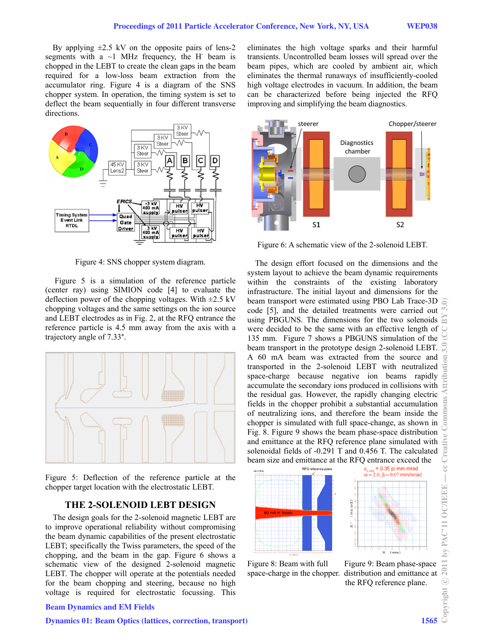By applying  $\pm 2.5$  kV on the opposite pairs of lens-2 segments with a  $\sim$ 1 MHz frequency, the H<sup>-</sup> beam is chopped in the LEBT to create the clean gaps in the beam required for a low-loss beam extraction from the accumulator ring. Figure 4 is a diagram of the SNS chopper system. In operation, the timing system is set to deflect the beam sequentially in four different transverse directions.



Figure 4: SNS chopper system diagram.

 Figure 5 is a simulation of the reference particle (center ray) using SIMION code [4] to evaluate the deflection power of the chopping voltages. With  $\pm 2.5$  kV chopping voltages and the same settings on the ion source and LEBT electrodes as in Fig. 2, at the RFQ entrance the reference particle is 4.5 mm away from the axis with a trajectory angle of 7.33°.



Figure 5: Deflection of the reference particle at the chopper target location with the electrostatic LEBT.

# **THE 2-SOLENOID LEBT DESIGN**

The design goals for the 2-solenoid magnetic LEBT are to improve operational reliability without compromising the beam dynamic capabilities of the present electrostatic LEBT; specifically the Twiss parameters, the speed of the chopping, and the beam in the gap. Figure 6 shows a schematic view of the designed 2-solenoid magnetic LEBT. The chopper will operate at the potentials needed for the beam chopping and steering, because no high voltage is required for electrostatic focussing. This eliminates the high voltage sparks and their harmful transients. Uncontrolled beam losses will spread over the beam pipes, which are cooled by ambient air, which eliminates the thermal runaways of insufficiently-cooled high voltage electrodes in vacuum. In addition, the beam can be characterized before being injected the RFQ improving and simplifying the beam diagnostics.



Figure 6: A schematic view of the 2-solenoid LEBT.

The design effort focused on the dimensions and the system layout to achieve the beam dynamic requirements within the constraints of the existing laboratory infrastructure. The initial layout and dimensions for the beam transport were estimated using PBO Lab Trace-3D code [5], and the detailed treatments were carried out using PBGUNS. The dimensions for the two solenoids were decided to be the same with an effective length of 135 mm. Figure 7 shows a PBGUNS simulation of the beam transport in the prototype design 2-solenoid LEBT. A 60 mA beam was extracted from the source and transported in the 2-solenoid LEBT with neutralized space-charge because negative ion beams rapidly accumulate the secondary ions produced in collisions with the residual gas. However, the rapidly changing electric fields in the chopper prohibit a substantial accumulation of neutralizing ions, and therefore the beam inside the chopper is simulated with full space-change, as shown in Fig. 8. Figure 9 shows the beam phase-space distribution and emittance at the RFQ reference plane simulated with solenoidal fields of -0.291 T and 0.456 T. The calculated beam size and emittance at the RFQ entrance exceed the





space-charge in the chopper. distribution and emittance at the RFQ reference plane.

### Beam Dynamics and EM Fields

### Dynamics 01: Beam Optics (lattices, correction, transport) 1565